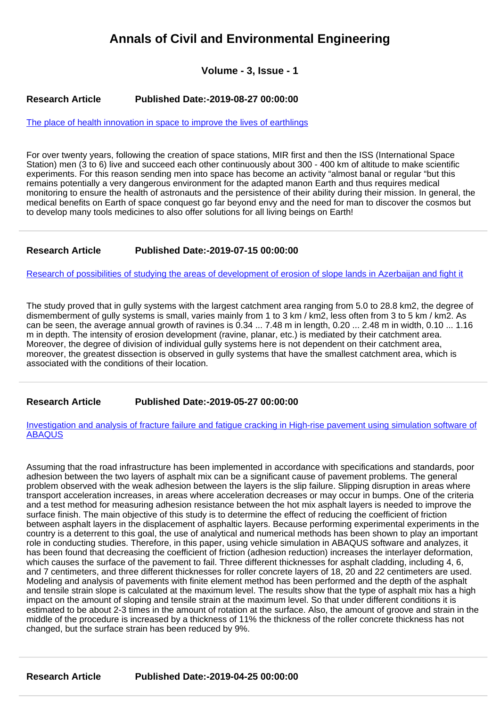## **Annals of Civil and Environmental Engineering**

**Volume - 3, Issue - 1**

## **Research Article Published Date:-2019-08-27 00:00:00**

[The place of health innovation in space to improve the lives of earthlings](https://www.civilenvironjournal.com/articles/acee-aid1017.pdf)

For over twenty years, following the creation of space stations, MIR first and then the ISS (International Space Station) men (3 to 6) live and succeed each other continuously about 300 - 400 km of altitude to make scientific experiments. For this reason sending men into space has become an activity "almost banal or regular "but this remains potentially a very dangerous environment for the adapted manon Earth and thus requires medical monitoring to ensure the health of astronauts and the persistence of their ability during their mission. In general, the medical benefits on Earth of space conquest go far beyond envy and the need for man to discover the cosmos but to develop many tools medicines to also offer solutions for all living beings on Earth!

## **Research Article Published Date:-2019-07-15 00:00:00**

[Research of possibilities of studying the areas of development of erosion of slope lands in Azerbaijan and fight it](https://www.civilenvironjournal.com/articles/acee-aid1016.pdf)

The study proved that in gully systems with the largest catchment area ranging from 5.0 to 28.8 km2, the degree of dismemberment of gully systems is small, varies mainly from 1 to 3 km / km2, less often from 3 to 5 km / km2. As can be seen, the average annual growth of ravines is 0.34 ... 7.48 m in length, 0.20 ... 2.48 m in width, 0.10 ... 1.16 m in depth. The intensity of erosion development (ravine, planar, etc.) is mediated by their catchment area. Moreover, the degree of division of individual gully systems here is not dependent on their catchment area, moreover, the greatest dissection is observed in gully systems that have the smallest catchment area, which is associated with the conditions of their location.

**Research Article Published Date:-2019-05-27 00:00:00**

[Investigation and analysis of fracture failure and fatigue cracking in High-rise pavement using simulation software of](https://www.civilenvironjournal.com/articles/acee-aid1015.pdf) **[ABAQUS](https://www.civilenvironjournal.com/articles/acee-aid1015.pdf)** 

Assuming that the road infrastructure has been implemented in accordance with specifications and standards, poor adhesion between the two layers of asphalt mix can be a significant cause of pavement problems. The general problem observed with the weak adhesion between the layers is the slip failure. Slipping disruption in areas where transport acceleration increases, in areas where acceleration decreases or may occur in bumps. One of the criteria and a test method for measuring adhesion resistance between the hot mix asphalt layers is needed to improve the surface finish. The main objective of this study is to determine the effect of reducing the coefficient of friction between asphalt layers in the displacement of asphaltic layers. Because performing experimental experiments in the country is a deterrent to this goal, the use of analytical and numerical methods has been shown to play an important role in conducting studies. Therefore, in this paper, using vehicle simulation in ABAQUS software and analyzes, it has been found that decreasing the coefficient of friction (adhesion reduction) increases the interlayer deformation, which causes the surface of the pavement to fail. Three different thicknesses for asphalt cladding, including 4, 6, and 7 centimeters, and three different thicknesses for roller concrete layers of 18, 20 and 22 centimeters are used. Modeling and analysis of pavements with finite element method has been performed and the depth of the asphalt and tensile strain slope is calculated at the maximum level. The results show that the type of asphalt mix has a high impact on the amount of sloping and tensile strain at the maximum level. So that under different conditions it is estimated to be about 2-3 times in the amount of rotation at the surface. Also, the amount of groove and strain in the middle of the procedure is increased by a thickness of 11% the thickness of the roller concrete thickness has not changed, but the surface strain has been reduced by 9%.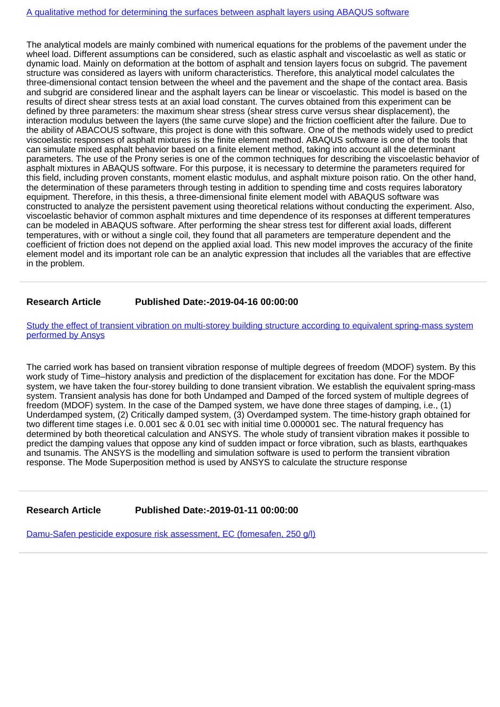The analytical models are mainly combined with numerical equations for the problems of the pavement under the wheel load. Different assumptions can be considered, such as elastic asphalt and viscoelastic as well as static or dynamic load. Mainly on deformation at the bottom of asphalt and tension layers focus on subgrid. The pavement structure was considered as layers with uniform characteristics. Therefore, this analytical model calculates the three-dimensional contact tension between the wheel and the pavement and the shape of the contact area. Basis and subgrid are considered linear and the asphalt layers can be linear or viscoelastic. This model is based on the results of direct shear stress tests at an axial load constant. The curves obtained from this experiment can be defined by three parameters: the maximum shear stress (shear stress curve versus shear displacement), the interaction modulus between the layers (the same curve slope) and the friction coefficient after the failure. Due to the ability of ABACOUS software, this project is done with this software. One of the methods widely used to predict viscoelastic responses of asphalt mixtures is the finite element method. ABAQUS software is one of the tools that can simulate mixed asphalt behavior based on a finite element method, taking into account all the determinant parameters. The use of the Prony series is one of the common techniques for describing the viscoelastic behavior of asphalt mixtures in ABAQUS software. For this purpose, it is necessary to determine the parameters required for this field, including proven constants, moment elastic modulus, and asphalt mixture poison ratio. On the other hand, the determination of these parameters through testing in addition to spending time and costs requires laboratory equipment. Therefore, in this thesis, a three-dimensional finite element model with ABAQUS software was constructed to analyze the persistent pavement using theoretical relations without conducting the experiment. Also, viscoelastic behavior of common asphalt mixtures and time dependence of its responses at different temperatures can be modeled in ABAQUS software. After performing the shear stress test for different axial loads, different temperatures, with or without a single coil, they found that all parameters are temperature dependent and the coefficient of friction does not depend on the applied axial load. This new model improves the accuracy of the finite element model and its important role can be an analytic expression that includes all the variables that are effective in the problem.

## **Research Article Published Date:-2019-04-16 00:00:00**

[Study the effect of transient vibration on multi-storey building structure according to equivalent spring-mass system](https://www.civilenvironjournal.com/articles/acee-aid1013.pdf) [performed by Ansys](https://www.civilenvironjournal.com/articles/acee-aid1013.pdf)

The carried work has based on transient vibration response of multiple degrees of freedom (MDOF) system. By this work study of Time–history analysis and prediction of the displacement for excitation has done. For the MDOF system, we have taken the four-storey building to done transient vibration. We establish the equivalent spring-mass system. Transient analysis has done for both Undamped and Damped of the forced system of multiple degrees of freedom (MDOF) system. In the case of the Damped system, we have done three stages of damping, i.e., (1) Underdamped system, (2) Critically damped system, (3) Overdamped system. The time-history graph obtained for two different time stages i.e. 0.001 sec & 0.01 sec with initial time 0.000001 sec. The natural frequency has determined by both theoretical calculation and ANSYS. The whole study of transient vibration makes it possible to predict the damping values that oppose any kind of sudden impact or force vibration, such as blasts, earthquakes and tsunamis. The ANSYS is the modelling and simulation software is used to perform the transient vibration response. The Mode Superposition method is used by ANSYS to calculate the structure response

**Research Article Published Date:-2019-01-11 00:00:00**

[Damu-Safen pesticide exposure risk assessment, EC \(fomesafen, 250 g/l\)](https://www.civilenvironjournal.com/articles/acee-aid1012.pdf)